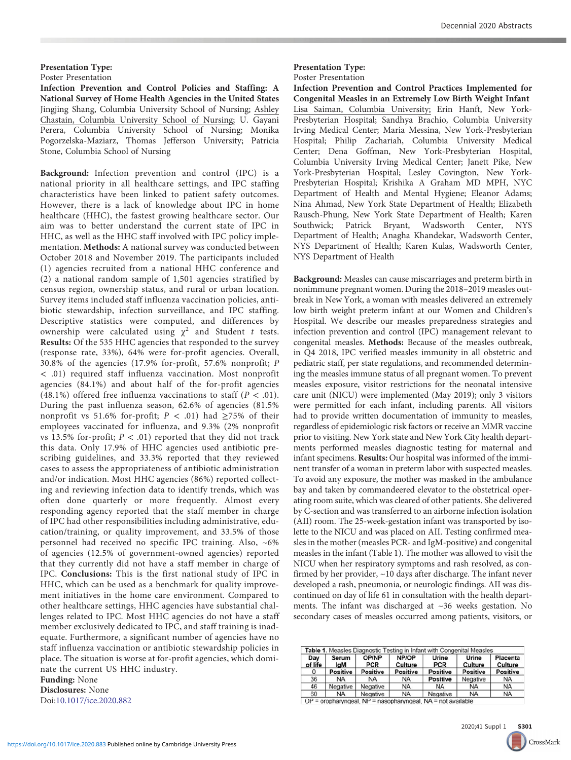# Presentation Type:

Poster Presentation

Infection Prevention and Control Policies and Staffing: A National Survey of Home Health Agencies in the United States Jingjing Shang, Columbia University School of Nursing; Ashley Chastain, Columbia University School of Nursing; U. Gayani Perera, Columbia University School of Nursing; Monika Pogorzelska-Maziarz, Thomas Jefferson University; Patricia Stone, Columbia School of Nursing

Background: Infection prevention and control (IPC) is a national priority in all healthcare settings, and IPC staffing characteristics have been linked to patient safety outcomes. However, there is a lack of knowledge about IPC in home healthcare (HHC), the fastest growing healthcare sector. Our aim was to better understand the current state of IPC in HHC, as well as the HHC staff involved with IPC policy implementation. Methods: A national survey was conducted between October 2018 and November 2019. The participants included (1) agencies recruited from a national HHC conference and (2) a national random sample of 1,501 agencies stratified by census region, ownership status, and rural or urban location. Survey items included staff influenza vaccination policies, antibiotic stewardship, infection surveillance, and IPC staffing. Descriptive statistics were computed, and differences by ownership were calculated using  $\chi^2$  and Student t tests. Results: Of the 535 HHC agencies that responded to the survey (response rate, 33%), 64% were for-profit agencies. Overall, 30.8% of the agencies (17.9% for-profit, 57.6% nonprofit; P < .01) required staff influenza vaccination. Most nonprofit agencies (84.1%) and about half of the for-profit agencies (48.1%) offered free influenza vaccinations to staff ( $P < .01$ ). During the past influenza season, 62.6% of agencies (81.5% nonprofit vs 51.6% for-profit;  $P < .01$ ) had ≥75% of their employees vaccinated for influenza, and 9.3% (2% nonprofit vs 13.5% for-profit;  $P < .01$ ) reported that they did not track this data. Only 17.9% of HHC agencies used antibiotic prescribing guidelines, and 33.3% reported that they reviewed cases to assess the appropriateness of antibiotic administration and/or indication. Most HHC agencies (86%) reported collecting and reviewing infection data to identify trends, which was often done quarterly or more frequently. Almost every responding agency reported that the staff member in charge of IPC had other responsibilities including administrative, education/training, or quality improvement, and 33.5% of those personnel had received no specific IPC training. Also, ~6% of agencies (12.5% of government-owned agencies) reported that they currently did not have a staff member in charge of IPC. Conclusions: This is the first national study of IPC in HHC, which can be used as a benchmark for quality improvement initiatives in the home care environment. Compared to other healthcare settings, HHC agencies have substantial challenges related to IPC. Most HHC agencies do not have a staff member exclusively dedicated to IPC, and staff training is inadequate. Furthermore, a significant number of agencies have no staff influenza vaccination or antibiotic stewardship policies in place. The situation is worse at for-profit agencies, which dominate the current US HHC industry.

Funding: None Disclosures: None Doi:10.1017/ice.2020.882

## Presentation Type:

#### Poster Presentation

Infection Prevention and Control Practices Implemented for Congenital Measles in an Extremely Low Birth Weight Infant Lisa Saiman, Columbia University; Erin Hanft, New York-Presbyterian Hospital; Sandhya Brachio, Columbia University Irving Medical Center; Maria Messina, New York-Presbyterian Hospital; Philip Zachariah, Columbia University Medical Center; Dena Goffman, New York-Presbyterian Hospital, Columbia University Irving Medical Center; Janett Pike, New York-Presbyterian Hospital; Lesley Covington, New York-Presbyterian Hospital; Krishika A Graham MD MPH, NYC Department of Health and Mental Hygiene; Eleanor Adams; Nina Ahmad, New York State Department of Health; Elizabeth Rausch-Phung, New York State Department of Health; Karen Southwick; Patrick Bryant, Wadsworth Center, NYS Department of Health; Anagha Khandekar, Wadsworth Center, NYS Department of Health; Karen Kulas, Wadsworth Center, NYS Department of Health

Background: Measles can cause miscarriages and preterm birth in nonimmune pregnant women. During the 2018–2019 measles outbreak in New York, a woman with measles delivered an extremely low birth weight preterm infant at our Women and Children's Hospital. We describe our measles preparedness strategies and infection prevention and control (IPC) management relevant to congenital measles. Methods: Because of the measles outbreak, in Q4 2018, IPC verified measles immunity in all obstetric and pediatric staff, per state regulations, and recommended determining the measles immune status of all pregnant women. To prevent measles exposure, visitor restrictions for the neonatal intensive care unit (NICU) were implemented (May 2019); only 3 visitors were permitted for each infant, including parents. All visitors had to provide written documentation of immunity to measles, regardless of epidemiologic risk factors or receive an MMR vaccine prior to visiting. New York state and New York City health departments performed measles diagnostic testing for maternal and infant specimens. Results: Our hospital was informed of the imminent transfer of a woman in preterm labor with suspected measles. To avoid any exposure, the mother was masked in the ambulance bay and taken by commandeered elevator to the obstetrical operating room suite, which was cleared of other patients. She delivered by C-section and was transferred to an airborne infection isolation (AII) room. The 25-week-gestation infant was transported by isolette to the NICU and was placed on AII. Testing confirmed measles in the mother (measles PCR- and IgM-positive) and congenital measles in the infant (Table 1). The mother was allowed to visit the NICU when her respiratory symptoms and rash resolved, as confirmed by her provider, ~10 days after discharge. The infant never developed a rash, pneumonia, or neurologic findings. AII was discontinued on day of life 61 in consultation with the health departments. The infant was discharged at ~36 weeks gestation. No secondary cases of measles occurred among patients, visitors, or

| Day<br>of life | Serum<br>lgM | OP/NP<br><b>PCR</b> | NP/OP<br>Culture | Urine<br><b>PCR</b> | Urine<br>Culture | Placenta<br>Culture |
|----------------|--------------|---------------------|------------------|---------------------|------------------|---------------------|
| 0              | Positive     | Positive            | <b>Positive</b>  | <b>Positive</b>     | <b>Positive</b>  | <b>Positive</b>     |
| 36             | <b>NA</b>    | <b>NA</b>           | <b>NA</b>        | <b>Positive</b>     | Negative         | <b>NA</b>           |
| 46             | Negative     | Negative            | <b>NA</b>        | <b>NA</b>           | <b>NA</b>        | <b>NA</b>           |
| 60             | <b>NA</b>    | Negative            | <b>NA</b>        | Negative            | <b>NA</b>        | <b>NA</b>           |

2020;41 Suppl 1 **[S301](http://crossmark.crossref.org/dialog?doi=https://doi.org/10.1017/ice.2020.883&domain=pdf)** CrossMark